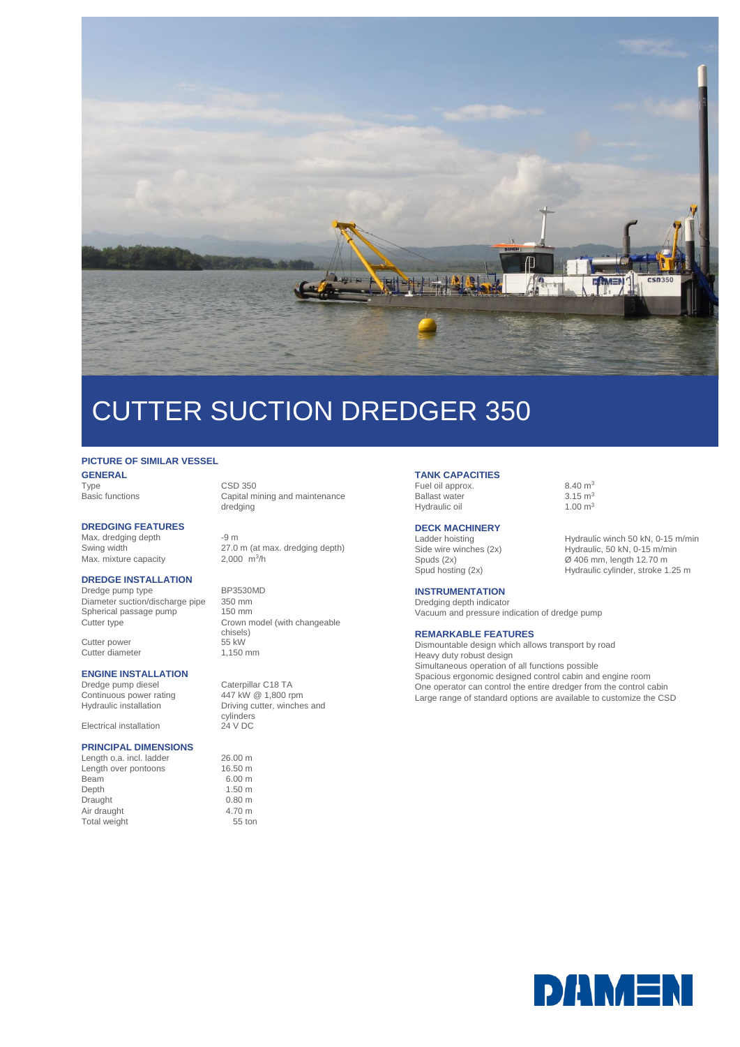

# CUTTER SUCTION DREDGER 350

### **PICTURE OF SIMILAR VESSEL**

**GENERAL**<br>Type Type CSD 350<br>Basic functions Capital m

### **DREDGING FEATURES**

Max. dredging depth -9 m<br>Swing width 27.0 Max. mixture capacity

### **DREDGE INSTALLATION**

Dredge pump type BP3530MD<br>Diameter suction/discharge pipe 350 mm Diameter suction/discharge pipe Spherical passage pump 150 mm<br>Cutter type Crown m

Cutter power 55 kW<br>Cutter diameter 1,150 mm Cutter diameter

### **ENGINE INSTALLATION**

Continuous power rating<br>Hydraulic installation Hydraulic installation Driving cutter, winches and

Electrical installation 24 V DC

#### **PRINCIPAL DIMENSIONS**

Length o.a. incl. ladder 26.00 m<br>
Length over pontoons 16.50 m Length over pontoons Beam 6.00 m<br>Depth 1.50 m Draught 0.80 m<br>
Air draught 4.70 m Air draught 4.70 m<br>
Total weight 55 ton Total weight

Capital mining and maintenance dredging

27.0 m (at max. dredging depth) 2,000  $\frac{m^3}{h}$ 

Crown model (with changeable chisels)<br>55 kW

Dredge pump diesel Caterpillar C18 TA<br>Continuous power rating 447 kW @ 1.800 rpm cylinders

 $1.50 m$ <br>0.80 m

**TANK CAPACITIES** Fuel oil approx.  $8.40 \text{ m}^3$ <br>Ballast water  $3.15 \text{ m}^3$ 

Ballast water  $3.15 \text{ m}^3$ <br>Hydraulic oil  $1.00 \text{ m}^3$ Hydraulic oil

## **DECK MACHINERY**<br>Ladder hoisting

Spud hosting (2x) Hydraulic cylinder, stroke 1.25 m

### **INSTRUMENTATION**

Dredging depth indicator Vacuum and pressure indication of dredge pump

### **REMARKABLE FEATURES**

Dismountable design which allows transport by road Heavy duty robust design Simultaneous operation of all functions possible Spacious ergonomic designed control cabin and engine room One operator can control the entire dredger from the control cabin Large range of standard options are available to customize the CSD

Ladder hoisting Hydraulic winch 50 kN, 0-15 m/min<br>Side wire winches (2x) Hydraulic, 50 kN, 0-15 m/min Hydraulic, 50 kN, 0-15 m/min Spuds (2x) Ø 406 mm, length 12.70 m